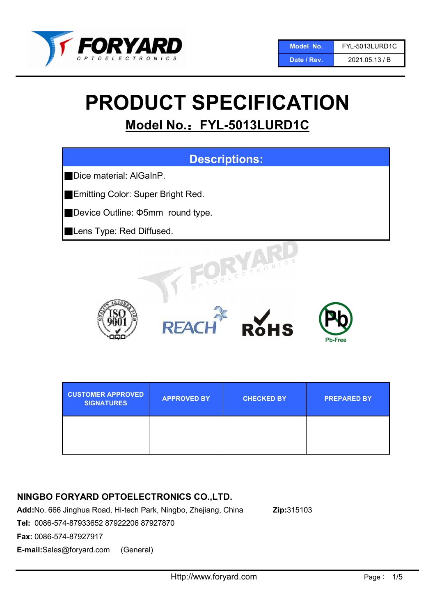

#### Date / Rev. 2021.05.13 / B

# PRODUCT SPECIFICATION

## Model No.: FYL-5013LURD1C



| <b>CUSTOMER APPROVED</b><br><b>SIGNATURES</b> | <b>APPROVED BY</b> | <b>CHECKED BY</b> | <b>PREPARED BY</b> |
|-----------------------------------------------|--------------------|-------------------|--------------------|
|                                               |                    |                   |                    |

## NINGBO FORYARD OPTOELECTRONICS CO.,LTD.

Add:No. 666 Jinghua Road, Hi-tech Park, Ningbo, Zhejiang, China Zip:315103

Tel: 0086-574-87933652 87922206 87927870

Fax: 0086-574-87927917

E-mail:Sales@foryard.com (General)

Http://www.foryard.com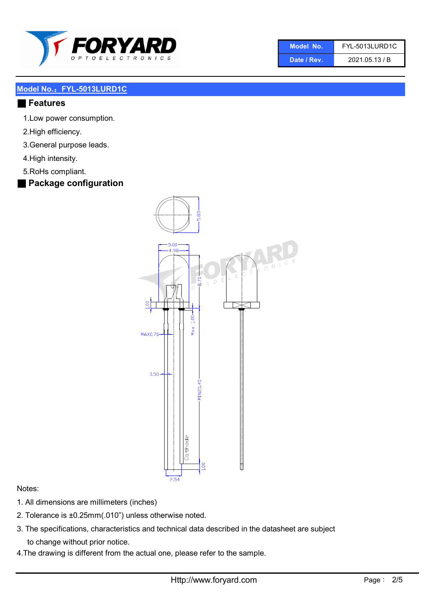

| 'Model No.  | FYL-5013LURD1C |
|-------------|----------------|
| Date / Rev. | 2021.05.13 / B |

#### ■ Features

- 1.Low power consumption.
- 2.High efficiency.
- 3.General purpose leads.
- 4.High intensity.
- 5.RoHs compliant.
- Package configuration



#### Notes:

- 1. All dimensions are millimeters (inches)
- 2. Tolerance is ±0.25mm(.010") unless otherwise noted.
- 3. The specifications, characteristics and technical data described in the datasheet are subject to change without prior notice.
- 4.The drawing is different from the actual one, please refer to the sample.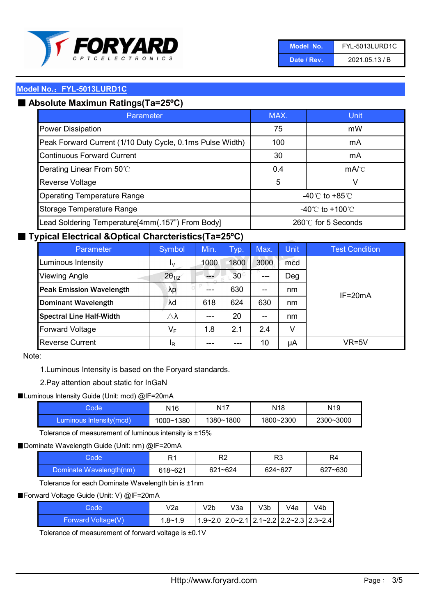

| Model No.   | FYL-5013LURD1C |
|-------------|----------------|
| Date / Rev. | 2021.05.13 / B |

## ■ Absolute Maximun Ratings(Ta=25°C)

| Parameter                                                 | MAX.                                | Unit |
|-----------------------------------------------------------|-------------------------------------|------|
| <b>Power Dissipation</b>                                  | 75                                  | mW   |
| Peak Forward Current (1/10 Duty Cycle, 0.1ms Pulse Width) | 100                                 | mA   |
| <b>Continuous Forward Current</b>                         | 30                                  | mA   |
| Derating Linear From 50°C                                 | 0.4                                 | mA/C |
| Reverse Voltage                                           | 5                                   | V    |
| <b>Operating Temperature Range</b>                        | $-40^{\circ}$ C to $+85^{\circ}$ C  |      |
| Storage Temperature Range                                 | $-40^{\circ}$ C to $+100^{\circ}$ C |      |
| Lead Soldering Temperature[4mm(.157") From Body]          | 260℃ for 5 Seconds                  |      |

### ■ Typical Electrical &Optical Charcteristics(Ta=25°C)

| Parameter                       | Symbol                  | Min.  | Typ.            | Max.                                  | <b>Unit</b> | <b>Test Condition</b> |
|---------------------------------|-------------------------|-------|-----------------|---------------------------------------|-------------|-----------------------|
| Luminous Intensity              | I <sub>V</sub>          | 1000  | 1800            | 3000                                  | mcd         |                       |
| <b>Viewing Angle</b>            | $2\theta_{1/2}$         |       | 30 <sup>°</sup> | $---$                                 | Deg         |                       |
| <b>Peak Emission Wavelength</b> | λp                      | ---   | 630             | $- -$                                 | nm          | $IF = 20mA$           |
| <b>Dominant Wavelength</b>      | λd                      | 618   | 624             | 630                                   | nm          |                       |
| <b>Spectral Line Half-Width</b> | $\triangle \lambda$     | $---$ | 20              | $\hspace{0.05cm}$ – $\hspace{0.05cm}$ | nm          |                       |
| <b>Forward Voltage</b>          | $\mathsf{V}_\mathsf{F}$ | 1.8   | 2.1             | 2.4                                   | v           |                       |
| <b>Reverse Current</b>          | <sup>I</sup> R          | ---   |                 | 10                                    | μA          | VR=5V                 |

#### Note:

1.Luminous Intensity is based on the Foryard standards.

2.Pay attention about static for InGaN

■ Luminous Intensity Guide (Unit: mcd) @IF=20mA

| Code                     | N16       | N <sub>17</sub> | N18       | N <sub>19</sub> |
|--------------------------|-----------|-----------------|-----------|-----------------|
| /Luminous Intensity(mcd) | 1000~1380 | 1380~1800       | 1800~2300 | 2300~3000       |

Tolerance of measurement of luminous intensity is ±15%

■ Dominate Wavelength Guide (Unit: nm) @IF=20mA

| iode                    | R1      | R <sub>2</sub> | R3      | R4      |
|-------------------------|---------|----------------|---------|---------|
| Dominate Wavelength(nm) | 618~621 | $621 - 624$    | 624~627 | 627~630 |

Tolerance for each Dominate Wavelength bin is ±1nm

■ Forward Voltage Guide (Unit: V) @IF=20mA

| Code               | V2a         | V2b | V3a | V3b | V4a | V4b                                                         |
|--------------------|-------------|-----|-----|-----|-----|-------------------------------------------------------------|
| Forward Voltage(V) | $1.8 - 1.9$ |     |     |     |     | $1.9 - 2.0$ 2.0 $- 2.1$ 2.1 $- 2.2$ 2.2 $- 2.3$ 2.3 $- 2.4$ |

Tolerance of measurement of forward voltage is ±0.1V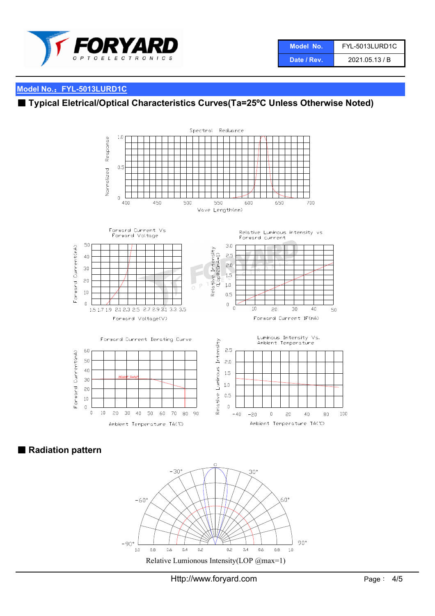

| Model No.   | <b>FYL-5013LURD1C</b> |
|-------------|-----------------------|
| Date / Rev. | 2021.05.13 / B        |

## ■ Typical Eletrical/Optical Characteristics Curves(Ta=25°C Unless Otherwise Noted)